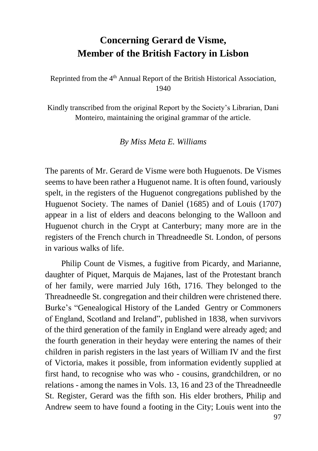## **Concerning Gerard de Visme, Member of the British Factory in Lisbon**

Reprinted from the 4<sup>th</sup> Annual Report of the British Historical Association, 1940

Kindly transcribed from the original Report by the Society's Librarian, Dani Monteiro, maintaining the original grammar of the article.

*By Miss Meta E. Williams*

The parents of Mr. Gerard de Visme were both Huguenots. De Vismes seems to have been rather a Huguenot name. It is often found, variously spelt, in the registers of the Huguenot congregations published by the Huguenot Society. The names of Daniel (1685) and of Louis (1707) appear in a list of elders and deacons belonging to the Walloon and Huguenot church in the Crypt at Canterbury; many more are in the registers of the French church in Threadneedle St. London, of persons in various walks of life.

Philip Count de Vismes, a fugitive from Picardy, and Marianne, daughter of Piquet, Marquis de Majanes, last of the Protestant branch of her family, were married July 16th, 1716. They belonged to the Threadneedle St. congregation and their children were christened there. Burke's "Genealogical History of the Landed Gentry or Commoners of England, Scotland and Ireland", published in 1838, when survivors of the third generation of the family in England were already aged; and the fourth generation in their heyday were entering the names of their children in parish registers in the last years of William IV and the first of Victoria, makes it possible, from information evidently supplied at first hand, to recognise who was who - cousins, grandchildren, or no relations - among the names in Vols. 13, 16 and 23 of the Threadneedle St. Register, Gerard was the fifth son. His elder brothers, Philip and Andrew seem to have found a footing in the City; Louis went into the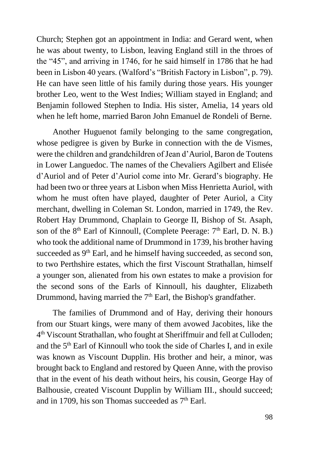Church; Stephen got an appointment in India: and Gerard went, when he was about twenty, to Lisbon, leaving England still in the throes of the "45", and arriving in 1746, for he said himself in 1786 that he had been in Lisbon 40 years. (Walford's "British Factory in Lisbon", p. 79). He can have seen little of his family during those years. His younger brother Leo, went to the West Indies; William stayed in England; and Benjamin followed Stephen to India. His sister, Amelia, 14 years old when he left home, married Baron John Emanuel de Rondeli of Berne.

Another Huguenot family belonging to the same congregation, whose pedigree is given by Burke in connection with the de Vismes, were the children and grandchildren of Jean d'Auriol, Baron de Toutens in Lower Languedoc. The names of the Chevaliers Agilbert and Elisée d'Auriol and of Peter d'Auriol come into Mr. Gerard's biography. He had been two or three years at Lisbon when Miss Henrietta Auriol, with whom he must often have played, daughter of Peter Auriol, a City merchant, dwelling in Coleman St. London, married in 1749, the Rev. Robert Hay Drummond, Chaplain to George II, Bishop of St. Asaph, son of the  $8<sup>th</sup>$  Earl of Kinnoull, (Complete Peerage:  $7<sup>th</sup>$  Earl, D, N, B,) who took the additional name of Drummond in 1739, his brother having succeeded as 9<sup>th</sup> Earl, and he himself having succeeded, as second son, to two Perthshire estates, which the first Viscount Strathallan, himself a younger son, alienated from his own estates to make a provision for the second sons of the Earls of Kinnoull, his daughter, Elizabeth Drummond, having married the  $7<sup>th</sup>$  Earl, the Bishop's grandfather.

The families of Drummond and of Hay, deriving their honours from our Stuart kings, were many of them avowed Jacobites, like the 4<sup>th</sup> Viscount Strathallan, who fought at Sheriffmuir and fell at Culloden; and the 5th Earl of Kinnoull who took the side of Charles I, and in exile was known as Viscount Dupplin. His brother and heir, a minor, was brought back to England and restored by Queen Anne, with the proviso that in the event of his death without heirs, his cousin, George Hay of Balhousie, created Viscount Dupplin by William III., should succeed; and in 1709, his son Thomas succeeded as  $7<sup>th</sup>$  Earl.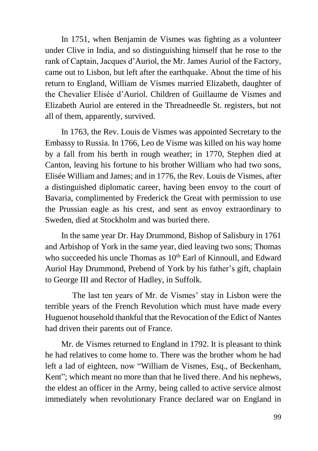In 1751, when Benjamin de Vismes was fighting as a volunteer under Clive in India, and so distinguishing himself that he rose to the rank of Captain, Jacques d'Auriol, the Mr. James Auriol of the Factory, came out to Lisbon, but left after the earthquake. About the time of his return to England, William de Vismes married Elizabeth, daughter of the Chevalier Elisée d'Auriol. Children of Guillaume de Vismes and Elizabeth Auriol are entered in the Threadneedle St. registers, but not all of them, apparently, survived.

In 1763, the Rev. Louis de Vismes was appointed Secretary to the Embassy to Russia. In 1766, Leo de Visme was killed on his way home by a fall from his berth in rough weather; in 1770, Stephen died at Canton, leaving his fortune to his brother William who had two sons, Elisée William and James; and in 1776, the Rev. Louis de Vismes, after a distinguished diplomatic career, having been envoy to the court of Bavaria, complimented by Frederick the Great with permission to use the Prussian eagle as his crest, and sent as envoy extraordinary to Sweden, died at Stockholm and was buried there.

In the same year Dr. Hay Drummond, Bishop of Salisbury in 1761 and Arbishop of York in the same year, died leaving two sons; Thomas who succeeded his uncle Thomas as  $10<sup>th</sup>$  Earl of Kinnoull, and Edward Auriol Hay Drummond, Prebend of York by his father's gift, chaplain to George III and Rector of Hadley, in Suffolk.

The last ten years of Mr. de Vismes' stay in Lisbon were the terrible years of the French Revolution which must have made every Huguenot household thankful that the Revocation of the Edict of Nantes had driven their parents out of France.

Mr. de Vismes returned to England in 1792. It is pleasant to think he had relatives to come home to. There was the brother whom he had left a lad of eighteen, now "William de Vismes, Esq., of Beckenham, Kent"; which meant no more than that he lived there. And his nephews, the eldest an officer in the Army, being called to active service almost immediately when revolutionary France declared war on England in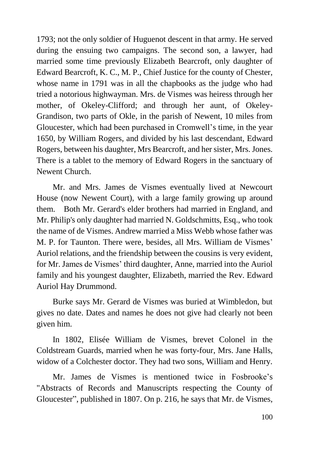1793; not the only soldier of Huguenot descent in that army. He served during the ensuing two campaigns. The second son, a lawyer, had married some time previously Elizabeth Bearcroft, only daughter of Edward Bearcroft, K. C., M. P., Chief Justice for the county of Chester, whose name in 1791 was in all the chapbooks as the judge who had tried a notorious highwayman. Mrs. de Vismes was heiress through her mother, of Okeley-Clifford; and through her aunt, of Okeley-Grandison, two parts of Okle, in the parish of Newent, 10 miles from Gloucester, which had been purchased in Cromwell's time, in the year 1650, by William Rogers, and divided by his last descendant, Edward Rogers, between his daughter, Mrs Bearcroft, and her sister, Mrs. Jones. There is a tablet to the memory of Edward Rogers in the sanctuary of Newent Church.

Mr. and Mrs. James de Vismes eventually lived at Newcourt House (now Newent Court), with a large family growing up around them. Both Mr. Gerard's elder brothers had married in England, and Mr. Philip's only daughter had married N. Goldschmitts, Esq., who took the name of de Vismes. Andrew married a Miss Webb whose father was M. P. for Taunton. There were, besides, all Mrs. William de Vismes' Auriol relations, and the friendship between the cousins is very evident, for Mr. James de Vismes' third daughter, Anne, married into the Auriol family and his youngest daughter, Elizabeth, married the Rev. Edward Auriol Hay Drummond.

Burke says Mr. Gerard de Vismes was buried at Wimbledon, but gives no date. Dates and names he does not give had clearly not been given him.

In 1802, Elisée William de Vismes, brevet Colonel in the Coldstream Guards, married when he was forty-four, Mrs. Jane Halls, widow of a Colchester doctor. They had two sons, William and Henry.

Mr. James de Vismes is mentioned twice in Fosbrooke's "Abstracts of Records and Manuscripts respecting the County of Gloucester", published in 1807. On p. 216, he says that Mr. de Vismes,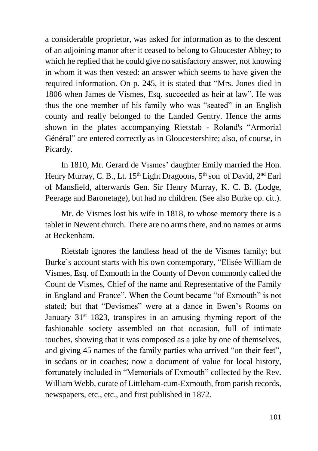a considerable proprietor, was asked for information as to the descent of an adjoining manor after it ceased to belong to Gloucester Abbey; to which he replied that he could give no satisfactory answer, not knowing in whom it was then vested: an answer which seems to have given the required information. On p. 245, it is stated that "Mrs. Jones died in 1806 when James de Vismes, Esq. succeeded as heir at law". He was thus the one member of his family who was "seated" in an English county and really belonged to the Landed Gentry. Hence the arms shown in the plates accompanying Rietstab - Roland's "Armorial Général" are entered correctly as in Gloucestershire; also, of course, in Picardy.

In 1810, Mr. Gerard de Vismes' daughter Emily married the Hon. Henry Murray, C. B., Lt. 15<sup>th</sup> Light Dragoons, 5<sup>th</sup> son of David, 2<sup>nd</sup> Earl of Mansfield, afterwards Gen. Sir Henry Murray, K. C. B. (Lodge, Peerage and Baronetage), but had no children. (See also Burke op. cit.).

Mr. de Vismes lost his wife in 1818, to whose memory there is a tablet in Newent church. There are no arms there, and no names or arms at Beckenham.

Rietstab ignores the landless head of the de Vismes family; but Burke's account starts with his own contemporary, "Elisée William de Vismes, Esq. of Exmouth in the County of Devon commonly called the Count de Vismes, Chief of the name and Representative of the Family in England and France". When the Count became "of Exmouth" is not stated; but that "Devismes" were at a dance in Ewen's Rooms on January 31<sup>st</sup> 1823, transpires in an amusing rhyming report of the fashionable society assembled on that occasion, full of intimate touches, showing that it was composed as a joke by one of themselves, and giving 45 names of the family parties who arrived "on their feet", in sedans or in coaches; now a document of value for local history, fortunately included in "Memorials of Exmouth" collected by the Rev. William Webb, curate of Littleham-cum-Exmouth, from parish records, newspapers, etc., etc., and first published in 1872.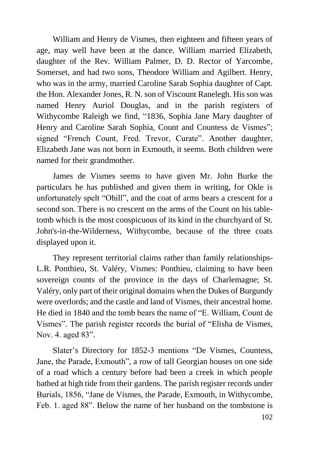William and Henry de Vismes, then eighteen and fifteen years of age, may well have been at the dance. William married Elizabeth, daughter of the Rev. William Palmer, D. D. Rector of Yarcombe, Somerset, and had two sons, Theodore William and Agilbert. Henry, who was in the army, married Caroline Sarah Sophia daughter of Capt. the Hon. Alexander Jones, R. N. son of Viscount Ranelegh. His son was named Henry Auriol Douglas, and in the parish registers of Withycombe Raleigh we find, "1836, Sophia Jane Mary daughter of Henry and Caroline Sarah Sophia, Count and Countess de Vismes"; signed "French Count, Fred. Trevor, Curate". Another daughter, Elizabeth Jane was not born in Exmouth, it seems. Both children were named for their grandmother.

James de Vismes seems to have given Mr. John Burke the particulars he has published and given them in writing, for Okle is unfortunately spelt "Ohill", and the coat of arms bears a crescent for a second son. There is no crescent on the arms of the Count on his tabletomb which is the most conspicuous of its kind in the churchyard of St. John's-in-the-Wilderness, Withycombe, because of the three coats displayed upon it.

They represent territorial claims rather than family relationships-L.R. Ponthieu, St. Valéry, Vismes: Ponthieu, claiming to have been sovereign counts of the province in the days of Charlemagne; St. Valéry, only part of their original domains when the Dukes of Burgundy were overlords; and the castle and land of Vismes, their ancestral home. He died in 1840 and the tomb bears the name of "E. William, Count de Vismes". The parish register records the burial of "Elisha de Vismes, Nov. 4. aged 83".

Slater's Directory for 1852-3 mentions "De Vismes, Countess, Jane, the Parade, Exmouth", a row of tall Georgian houses on one side of a road which a century before had been a creek in which people bathed at high tide from their gardens. The parish register records under Burials, 1856, "Jane de Vismes, the Parade, Exmouth, in Withycombe, Feb. 1. aged 88". Below the name of her husband on the tombstone is